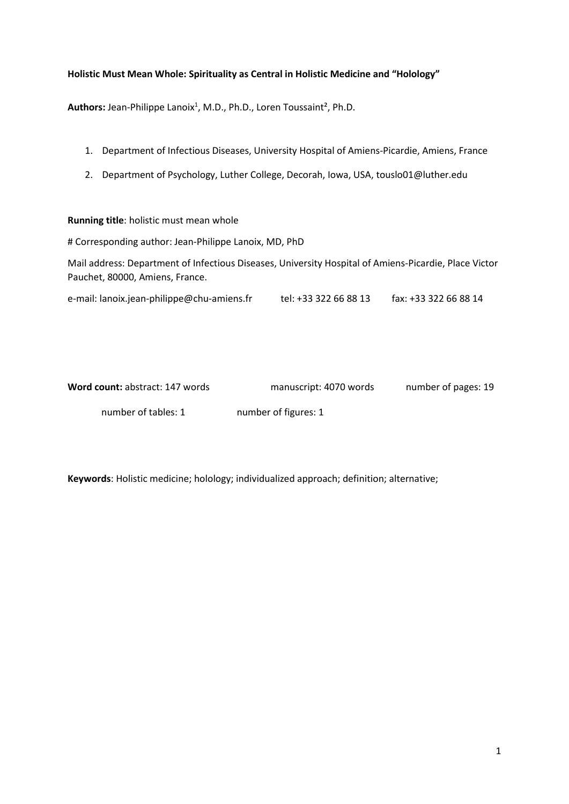# **Holistic Must Mean Whole: Spirituality as Central in Holistic Medicine and "Holology"**

Authors: Jean-Philippe Lanoix<sup>1</sup>, M.D., Ph.D., Loren Toussaint<sup>2</sup>, Ph.D.

- 1. Department of Infectious Diseases, University Hospital of Amiens-Picardie, Amiens, France
- 2. Department of Psychology, Luther College, Decorah, Iowa, USA, touslo01@luther.edu

## **Running title**: holistic must mean whole

# Corresponding author: Jean-Philippe Lanoix, MD, PhD

Mail address: Department of Infectious Diseases, University Hospital of Amiens-Picardie, Place Victor Pauchet, 80000, Amiens, France.

e-mail: lanoix.jean-philippe@chu-amiens.fr tel: +33 322 66 88 13 fax: +33 322 66 88 14

| Word count: abstract: 147 words | manuscript: 4070 words | number of pages: 19 |
|---------------------------------|------------------------|---------------------|
| number of tables: 1             | number of figures: 1   |                     |

**Keywords**: Holistic medicine; holology; individualized approach; definition; alternative;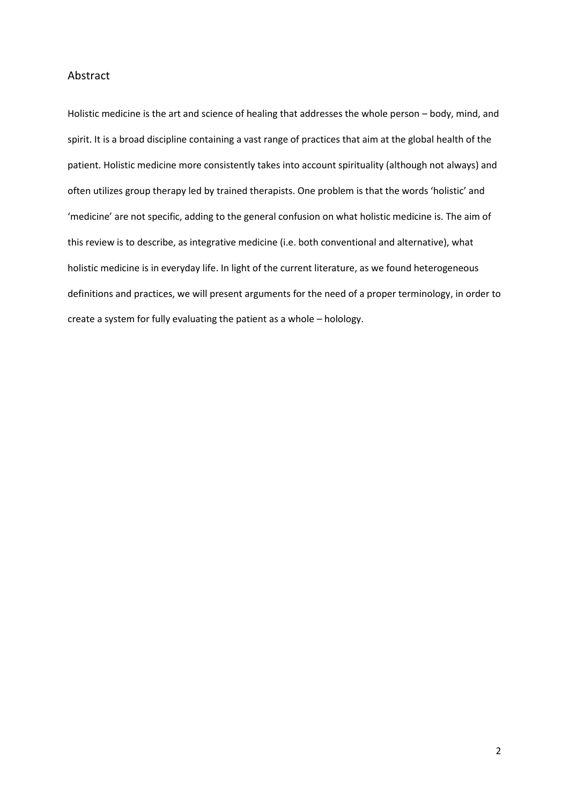## Abstract

Holistic medicine is the art and science of healing that addresses the whole person – body, mind, and spirit. It is a broad discipline containing a vast range of practices that aim at the global health of the patient. Holistic medicine more consistently takes into account spirituality (although not always) and often utilizes group therapy led by trained therapists. One problem is that the words 'holistic' and 'medicine' are not specific, adding to the general confusion on what holistic medicine is. The aim of this review is to describe, as integrative medicine (i.e. both conventional and alternative), what holistic medicine is in everyday life. In light of the current literature, as we found heterogeneous definitions and practices, we will present arguments for the need of a proper terminology, in order to create a system for fully evaluating the patient as a whole – holology.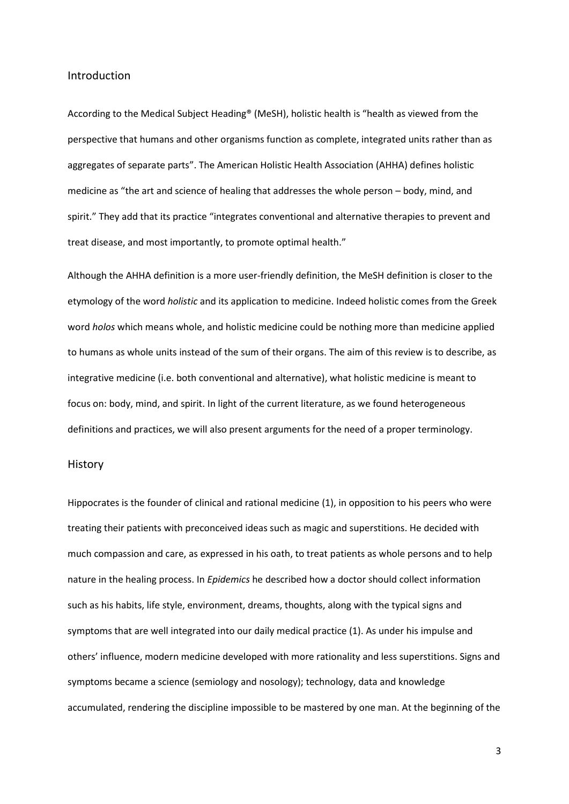#### Introduction

According to the Medical Subject Heading® (MeSH), holistic health is "health as viewed from the perspective that humans and other organisms function as complete, integrated units rather than as aggregates of separate parts". The American Holistic Health Association (AHHA) defines holistic medicine as "the art and science of healing that addresses the whole person – body, mind, and spirit." They add that its practice "integrates conventional and alternative therapies to prevent and treat disease, and most importantly, to promote optimal health."

Although the AHHA definition is a more user-friendly definition, the MeSH definition is closer to the etymology of the word *holistic* and its application to medicine. Indeed holistic comes from the Greek word *holos* which means whole, and holistic medicine could be nothing more than medicine applied to humans as whole units instead of the sum of their organs. The aim of this review is to describe, as integrative medicine (i.e. both conventional and alternative), what holistic medicine is meant to focus on: body, mind, and spirit. In light of the current literature, as we found heterogeneous definitions and practices, we will also present arguments for the need of a proper terminology.

#### History

Hippocrates is the founder of clinical and rational medicine (1), in opposition to his peers who were treating their patients with preconceived ideas such as magic and superstitions. He decided with much compassion and care, as expressed in his oath, to treat patients as whole persons and to help nature in the healing process. In *Epidemics* he described how a doctor should collect information such as his habits, life style, environment, dreams, thoughts, along with the typical signs and symptoms that are well integrated into our daily medical practice (1). As under his impulse and others' influence, modern medicine developed with more rationality and less superstitions. Signs and symptoms became a science (semiology and nosology); technology, data and knowledge accumulated, rendering the discipline impossible to be mastered by one man. At the beginning of the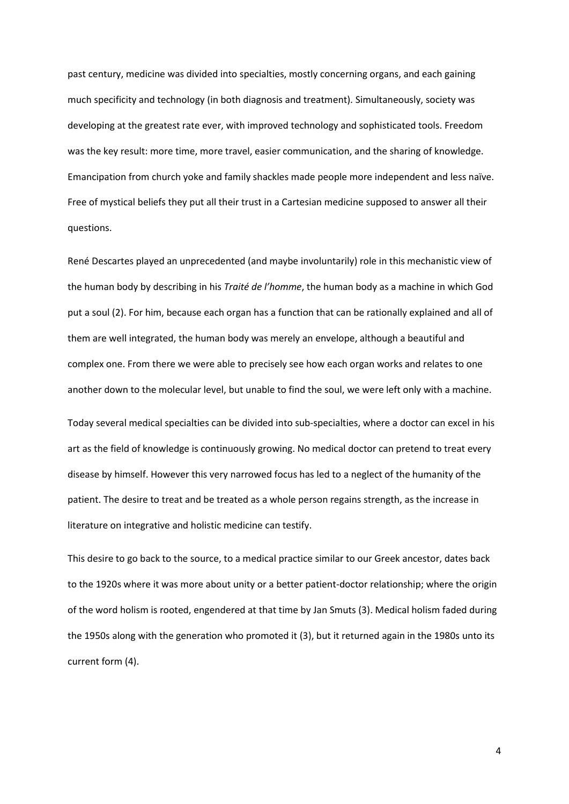past century, medicine was divided into specialties, mostly concerning organs, and each gaining much specificity and technology (in both diagnosis and treatment). Simultaneously, society was developing at the greatest rate ever, with improved technology and sophisticated tools. Freedom was the key result: more time, more travel, easier communication, and the sharing of knowledge. Emancipation from church yoke and family shackles made people more independent and less naïve. Free of mystical beliefs they put all their trust in a Cartesian medicine supposed to answer all their questions.

René Descartes played an unprecedented (and maybe involuntarily) role in this mechanistic view of the human body by describing in his *Traité de l'homme*, the human body as a machine in which God put a soul (2). For him, because each organ has a function that can be rationally explained and all of them are well integrated, the human body was merely an envelope, although a beautiful and complex one. From there we were able to precisely see how each organ works and relates to one another down to the molecular level, but unable to find the soul, we were left only with a machine.

Today several medical specialties can be divided into sub-specialties, where a doctor can excel in his art as the field of knowledge is continuously growing. No medical doctor can pretend to treat every disease by himself. However this very narrowed focus has led to a neglect of the humanity of the patient. The desire to treat and be treated as a whole person regains strength, as the increase in literature on integrative and holistic medicine can testify.

This desire to go back to the source, to a medical practice similar to our Greek ancestor, dates back to the 1920s where it was more about unity or a better patient-doctor relationship; where the origin of the word holism is rooted, engendered at that time by Jan Smuts (3). Medical holism faded during the 1950s along with the generation who promoted it (3), but it returned again in the 1980s unto its current form (4).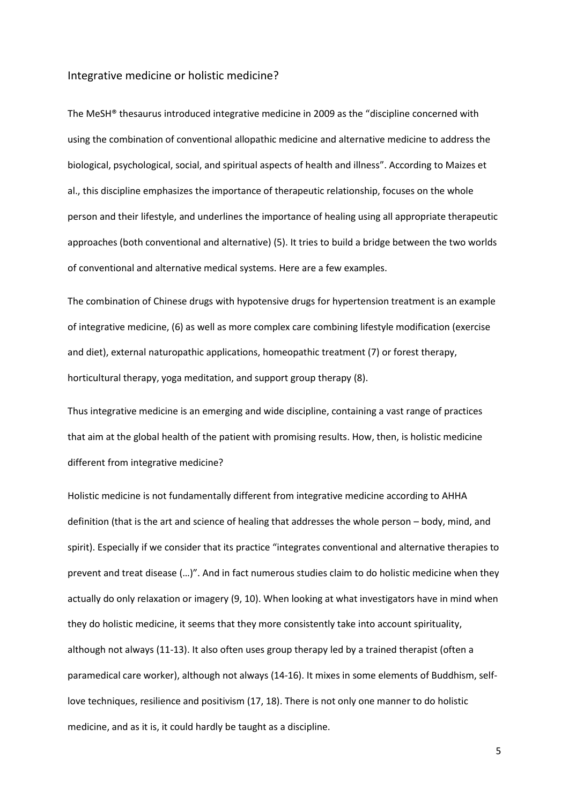#### Integrative medicine or holistic medicine?

The MeSH® thesaurus introduced integrative medicine in 2009 as the "discipline concerned with using the combination of conventional allopathic medicine and alternative medicine to address the biological, psychological, social, and spiritual aspects of health and illness". According to Maizes et al., this discipline emphasizes the importance of therapeutic relationship, focuses on the whole person and their lifestyle, and underlines the importance of healing using all appropriate therapeutic approaches (both conventional and alternative) (5). It tries to build a bridge between the two worlds of conventional and alternative medical systems. Here are a few examples.

The combination of Chinese drugs with hypotensive drugs for hypertension treatment is an example of integrative medicine, (6) as well as more complex care combining lifestyle modification (exercise and diet), external naturopathic applications, homeopathic treatment (7) or forest therapy, horticultural therapy, yoga meditation, and support group therapy (8).

Thus integrative medicine is an emerging and wide discipline, containing a vast range of practices that aim at the global health of the patient with promising results. How, then, is holistic medicine different from integrative medicine?

Holistic medicine is not fundamentally different from integrative medicine according to AHHA definition (that is the art and science of healing that addresses the whole person – body, mind, and spirit). Especially if we consider that its practice "integrates conventional and alternative therapies to prevent and treat disease (…)". And in fact numerous studies claim to do holistic medicine when they actually do only relaxation or imagery (9, 10). When looking at what investigators have in mind when they do holistic medicine, it seems that they more consistently take into account spirituality, although not always (11-13). It also often uses group therapy led by a trained therapist (often a paramedical care worker), although not always (14-16). It mixes in some elements of Buddhism, selflove techniques, resilience and positivism (17, 18). There is not only one manner to do holistic medicine, and as it is, it could hardly be taught as a discipline.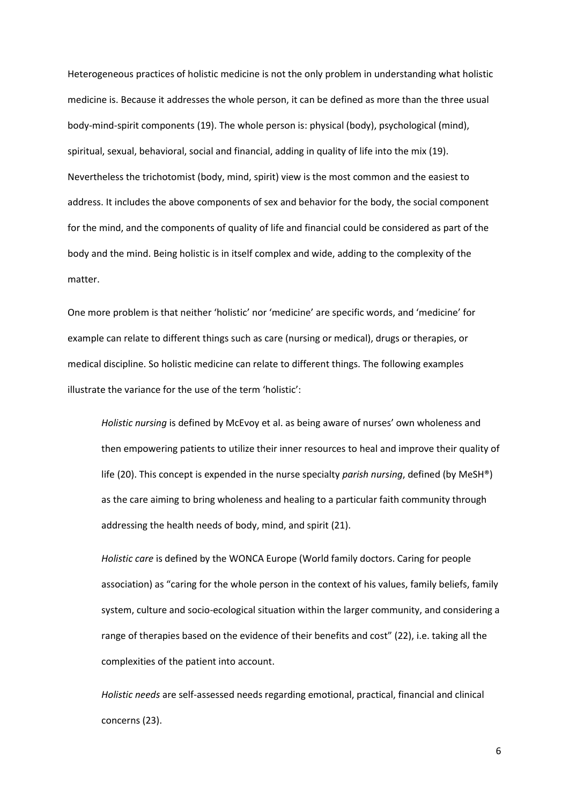Heterogeneous practices of holistic medicine is not the only problem in understanding what holistic medicine is. Because it addresses the whole person, it can be defined as more than the three usual body-mind-spirit components (19). The whole person is: physical (body), psychological (mind), spiritual, sexual, behavioral, social and financial, adding in quality of life into the mix (19). Nevertheless the trichotomist (body, mind, spirit) view is the most common and the easiest to address. It includes the above components of sex and behavior for the body, the social component for the mind, and the components of quality of life and financial could be considered as part of the body and the mind. Being holistic is in itself complex and wide, adding to the complexity of the matter.

One more problem is that neither 'holistic' nor 'medicine' are specific words, and 'medicine' for example can relate to different things such as care (nursing or medical), drugs or therapies, or medical discipline. So holistic medicine can relate to different things. The following examples illustrate the variance for the use of the term 'holistic':

*Holistic nursing* is defined by McEvoy et al. as being aware of nurses' own wholeness and then empowering patients to utilize their inner resources to heal and improve their quality of life (20). This concept is expended in the nurse specialty *parish nursing*, defined (by MeSH®) as the care aiming to bring wholeness and healing to a particular faith community through addressing the health needs of body, mind, and spirit (21).

*Holistic care* is defined by the WONCA Europe (World family doctors. Caring for people association) as "caring for the whole person in the context of his values, family beliefs, family system, culture and socio-ecological situation within the larger community, and considering a range of therapies based on the evidence of their benefits and cost" (22), i.e. taking all the complexities of the patient into account.

*Holistic needs* are self-assessed needs regarding emotional, practical, financial and clinical concerns (23).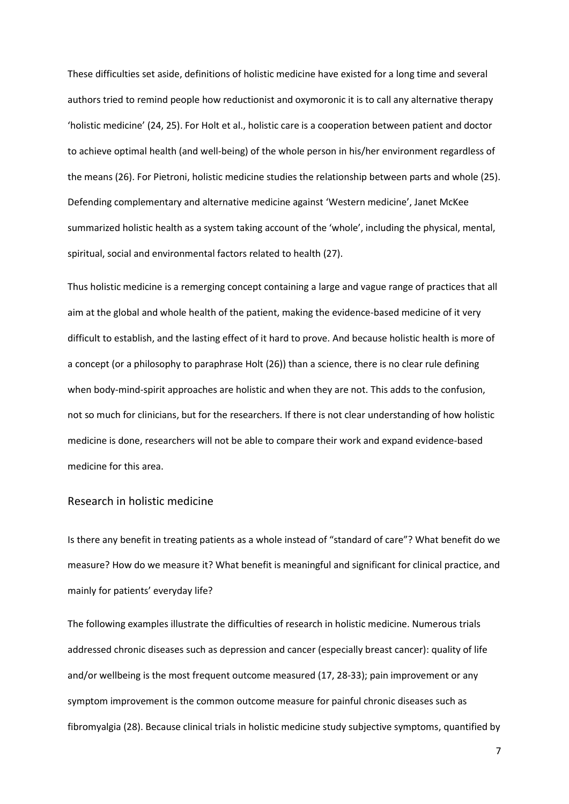These difficulties set aside, definitions of holistic medicine have existed for a long time and several authors tried to remind people how reductionist and oxymoronic it is to call any alternative therapy 'holistic medicine' (24, 25). For Holt et al., holistic care is a cooperation between patient and doctor to achieve optimal health (and well-being) of the whole person in his/her environment regardless of the means (26). For Pietroni, holistic medicine studies the relationship between parts and whole (25). Defending complementary and alternative medicine against 'Western medicine', Janet McKee summarized holistic health as a system taking account of the 'whole', including the physical, mental, spiritual, social and environmental factors related to health (27).

Thus holistic medicine is a remerging concept containing a large and vague range of practices that all aim at the global and whole health of the patient, making the evidence-based medicine of it very difficult to establish, and the lasting effect of it hard to prove. And because holistic health is more of a concept (or a philosophy to paraphrase Holt (26)) than a science, there is no clear rule defining when body-mind-spirit approaches are holistic and when they are not. This adds to the confusion, not so much for clinicians, but for the researchers. If there is not clear understanding of how holistic medicine is done, researchers will not be able to compare their work and expand evidence-based medicine for this area.

## Research in holistic medicine

Is there any benefit in treating patients as a whole instead of "standard of care"? What benefit do we measure? How do we measure it? What benefit is meaningful and significant for clinical practice, and mainly for patients' everyday life?

The following examples illustrate the difficulties of research in holistic medicine. Numerous trials addressed chronic diseases such as depression and cancer (especially breast cancer): quality of life and/or wellbeing is the most frequent outcome measured (17, 28-33); pain improvement or any symptom improvement is the common outcome measure for painful chronic diseases such as fibromyalgia (28). Because clinical trials in holistic medicine study subjective symptoms, quantified by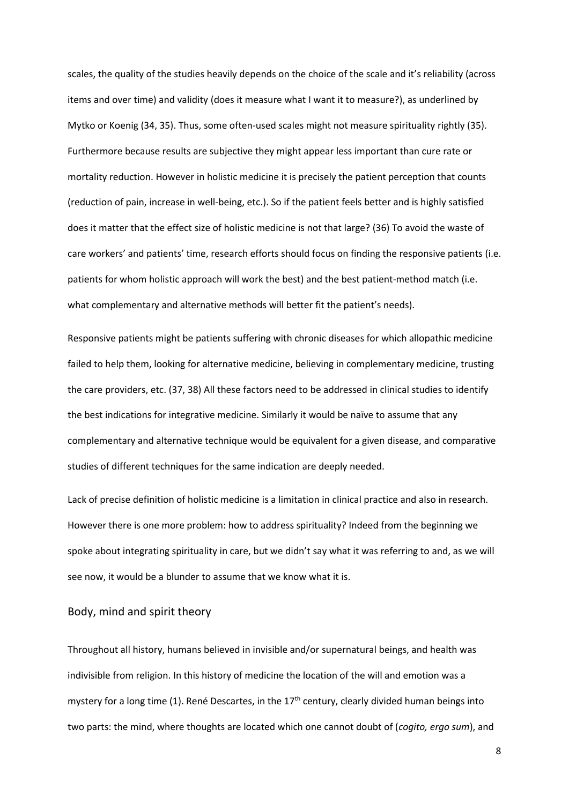scales, the quality of the studies heavily depends on the choice of the scale and it's reliability (across items and over time) and validity (does it measure what I want it to measure?), as underlined by Mytko or Koenig (34, 35). Thus, some often-used scales might not measure spirituality rightly (35). Furthermore because results are subjective they might appear less important than cure rate or mortality reduction. However in holistic medicine it is precisely the patient perception that counts (reduction of pain, increase in well-being, etc.). So if the patient feels better and is highly satisfied does it matter that the effect size of holistic medicine is not that large? (36) To avoid the waste of care workers' and patients' time, research efforts should focus on finding the responsive patients (i.e. patients for whom holistic approach will work the best) and the best patient-method match (i.e. what complementary and alternative methods will better fit the patient's needs).

Responsive patients might be patients suffering with chronic diseases for which allopathic medicine failed to help them, looking for alternative medicine, believing in complementary medicine, trusting the care providers, etc. (37, 38) All these factors need to be addressed in clinical studies to identify the best indications for integrative medicine. Similarly it would be naïve to assume that any complementary and alternative technique would be equivalent for a given disease, and comparative studies of different techniques for the same indication are deeply needed.

Lack of precise definition of holistic medicine is a limitation in clinical practice and also in research. However there is one more problem: how to address spirituality? Indeed from the beginning we spoke about integrating spirituality in care, but we didn't say what it was referring to and, as we will see now, it would be a blunder to assume that we know what it is.

# Body, mind and spirit theory

Throughout all history, humans believed in invisible and/or supernatural beings, and health was indivisible from religion. In this history of medicine the location of the will and emotion was a mystery for a long time (1). René Descartes, in the  $17<sup>th</sup>$  century, clearly divided human beings into two parts: the mind, where thoughts are located which one cannot doubt of (*cogito, ergo sum*), and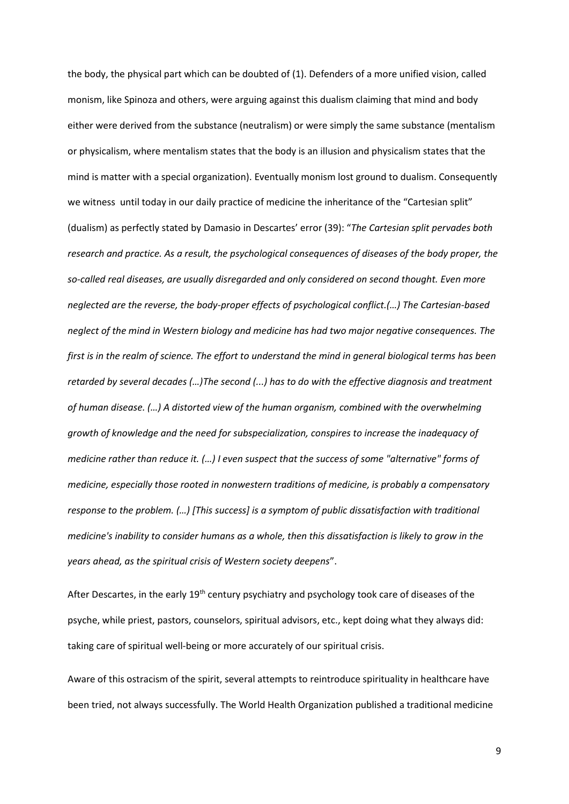the body, the physical part which can be doubted of (1). Defenders of a more unified vision, called monism, like Spinoza and others, were arguing against this dualism claiming that mind and body either were derived from the substance (neutralism) or were simply the same substance (mentalism or physicalism, where mentalism states that the body is an illusion and physicalism states that the mind is matter with a special organization). Eventually monism lost ground to dualism. Consequently we witness until today in our daily practice of medicine the inheritance of the "Cartesian split" (dualism) as perfectly stated by Damasio in Descartes' error (39): "*The Cartesian split pervades both research and practice. As a result, the psychological consequences of diseases of the body proper, the so-called real diseases, are usually disregarded and only considered on second thought. Even more neglected are the reverse, the body-proper effects of psychological conflict.(…) The Cartesian-based neglect of the mind in Western biology and medicine has had two major negative consequences. The first is in the realm of science. The effort to understand the mind in general biological terms has been retarded by several decades (…)The second (...) has to do with the effective diagnosis and treatment of human disease. (…) A distorted view of the human organism, combined with the overwhelming growth of knowledge and the need for subspecialization, conspires to increase the inadequacy of medicine rather than reduce it. (…) I even suspect that the success of some "alternative" forms of medicine, especially those rooted in nonwestern traditions of medicine, is probably a compensatory response to the problem. (…) [This success] is a symptom of public dissatisfaction with traditional medicine's inability to consider humans as a whole, then this dissatisfaction is likely to grow in the years ahead, as the spiritual crisis of Western society deepens*".

After Descartes, in the early 19<sup>th</sup> century psychiatry and psychology took care of diseases of the psyche, while priest, pastors, counselors, spiritual advisors, etc., kept doing what they always did: taking care of spiritual well-being or more accurately of our spiritual crisis.

Aware of this ostracism of the spirit, several attempts to reintroduce spirituality in healthcare have been tried, not always successfully. The World Health Organization published a traditional medicine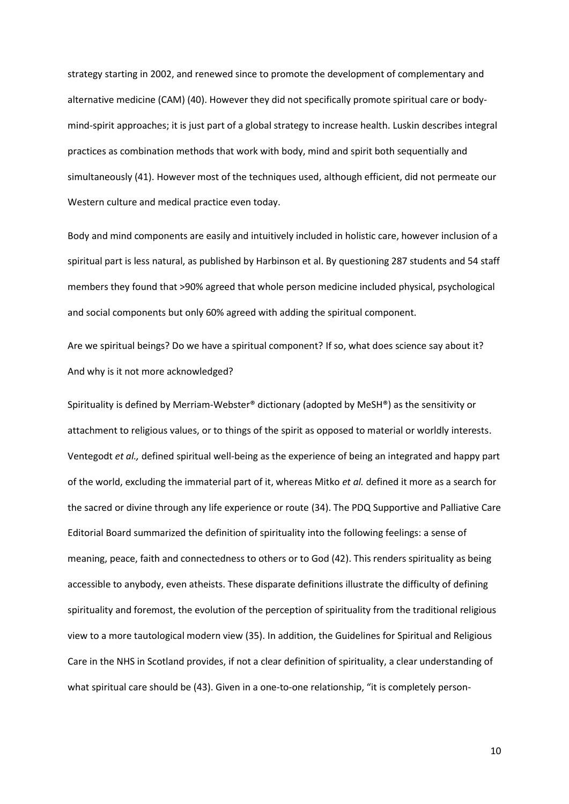strategy starting in 2002, and renewed since to promote the development of complementary and alternative medicine (CAM) (40). However they did not specifically promote spiritual care or bodymind-spirit approaches; it is just part of a global strategy to increase health. Luskin describes integral practices as combination methods that work with body, mind and spirit both sequentially and simultaneously (41). However most of the techniques used, although efficient, did not permeate our Western culture and medical practice even today.

Body and mind components are easily and intuitively included in holistic care, however inclusion of a spiritual part is less natural, as published by Harbinson et al. By questioning 287 students and 54 staff members they found that >90% agreed that whole person medicine included physical, psychological and social components but only 60% agreed with adding the spiritual component.

Are we spiritual beings? Do we have a spiritual component? If so, what does science say about it? And why is it not more acknowledged?

Spirituality is defined by Merriam-Webster® dictionary (adopted by MeSH®) as the sensitivity or attachment to religious values, or to things of the spirit as opposed to material or worldly interests. Ventegodt *et al.,* defined spiritual well-being as the experience of being an integrated and happy part of the world, excluding the immaterial part of it, whereas Mitko *et al.* defined it more as a search for the sacred or divine through any life experience or route (34). The PDQ Supportive and Palliative Care Editorial Board summarized the definition of spirituality into the following feelings: a sense of meaning, peace, faith and connectedness to others or to God (42). This renders spirituality as being accessible to anybody, even atheists. These disparate definitions illustrate the difficulty of defining spirituality and foremost, the evolution of the perception of spirituality from the traditional religious view to a more tautological modern view (35). In addition, the Guidelines for Spiritual and Religious Care in the NHS in Scotland provides, if not a clear definition of spirituality, a clear understanding of what spiritual care should be (43). Given in a one-to-one relationship, "it is completely person-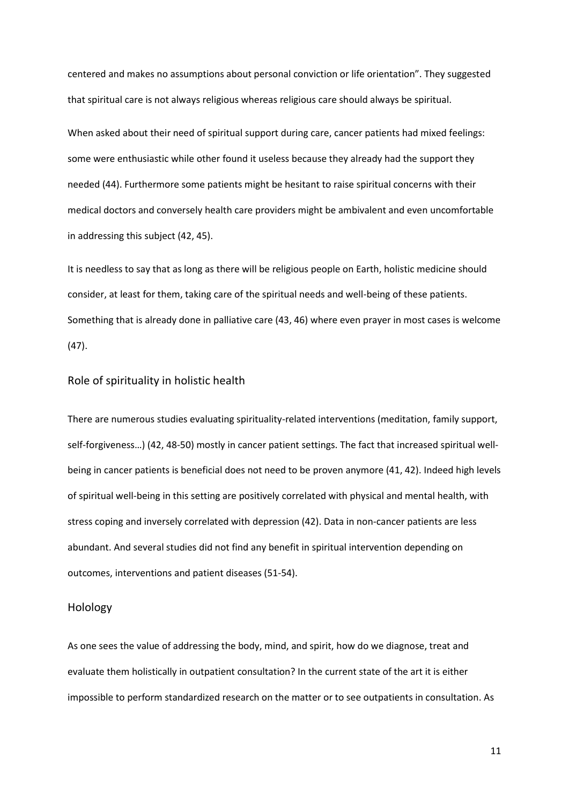centered and makes no assumptions about personal conviction or life orientation". They suggested that spiritual care is not always religious whereas religious care should always be spiritual.

When asked about their need of spiritual support during care, cancer patients had mixed feelings: some were enthusiastic while other found it useless because they already had the support they needed (44). Furthermore some patients might be hesitant to raise spiritual concerns with their medical doctors and conversely health care providers might be ambivalent and even uncomfortable in addressing this subject (42, 45).

It is needless to say that as long as there will be religious people on Earth, holistic medicine should consider, at least for them, taking care of the spiritual needs and well-being of these patients. Something that is already done in palliative care (43, 46) where even prayer in most cases is welcome (47).

### Role of spirituality in holistic health

There are numerous studies evaluating spirituality-related interventions (meditation, family support, self-forgiveness…) (42, 48-50) mostly in cancer patient settings. The fact that increased spiritual wellbeing in cancer patients is beneficial does not need to be proven anymore (41, 42). Indeed high levels of spiritual well-being in this setting are positively correlated with physical and mental health, with stress coping and inversely correlated with depression (42). Data in non-cancer patients are less abundant. And several studies did not find any benefit in spiritual intervention depending on outcomes, interventions and patient diseases (51-54).

## Holology

As one sees the value of addressing the body, mind, and spirit, how do we diagnose, treat and evaluate them holistically in outpatient consultation? In the current state of the art it is either impossible to perform standardized research on the matter or to see outpatients in consultation. As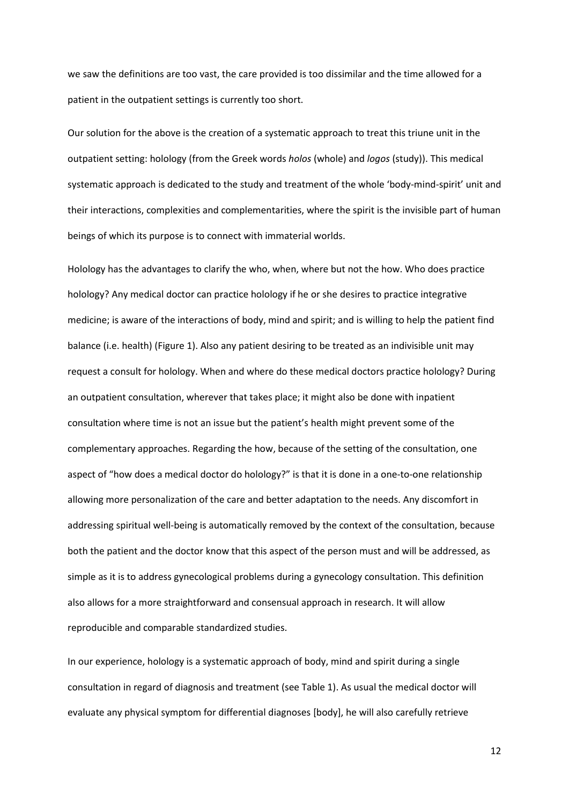we saw the definitions are too vast, the care provided is too dissimilar and the time allowed for a patient in the outpatient settings is currently too short.

Our solution for the above is the creation of a systematic approach to treat this triune unit in the outpatient setting: holology (from the Greek words *holos* (whole) and *logos* (study)). This medical systematic approach is dedicated to the study and treatment of the whole 'body-mind-spirit' unit and their interactions, complexities and complementarities, where the spirit is the invisible part of human beings of which its purpose is to connect with immaterial worlds.

Holology has the advantages to clarify the who, when, where but not the how. Who does practice holology? Any medical doctor can practice holology if he or she desires to practice integrative medicine; is aware of the interactions of body, mind and spirit; and is willing to help the patient find balance (i.e. health) (Figure 1). Also any patient desiring to be treated as an indivisible unit may request a consult for holology. When and where do these medical doctors practice holology? During an outpatient consultation, wherever that takes place; it might also be done with inpatient consultation where time is not an issue but the patient's health might prevent some of the complementary approaches. Regarding the how, because of the setting of the consultation, one aspect of "how does a medical doctor do holology?" is that it is done in a one-to-one relationship allowing more personalization of the care and better adaptation to the needs. Any discomfort in addressing spiritual well-being is automatically removed by the context of the consultation, because both the patient and the doctor know that this aspect of the person must and will be addressed, as simple as it is to address gynecological problems during a gynecology consultation. This definition also allows for a more straightforward and consensual approach in research. It will allow reproducible and comparable standardized studies.

In our experience, holology is a systematic approach of body, mind and spirit during a single consultation in regard of diagnosis and treatment (see Table 1). As usual the medical doctor will evaluate any physical symptom for differential diagnoses [body], he will also carefully retrieve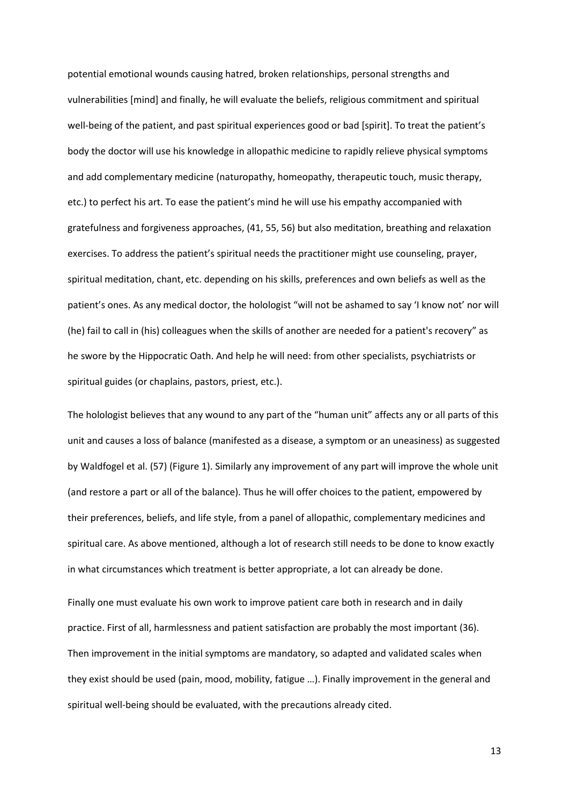potential emotional wounds causing hatred, broken relationships, personal strengths and vulnerabilities [mind] and finally, he will evaluate the beliefs, religious commitment and spiritual well-being of the patient, and past spiritual experiences good or bad [spirit]. To treat the patient's body the doctor will use his knowledge in allopathic medicine to rapidly relieve physical symptoms and add complementary medicine (naturopathy, homeopathy, therapeutic touch, music therapy, etc.) to perfect his art. To ease the patient's mind he will use his empathy accompanied with gratefulness and forgiveness approaches, (41, 55, 56) but also meditation, breathing and relaxation exercises. To address the patient's spiritual needs the practitioner might use counseling, prayer, spiritual meditation, chant, etc. depending on his skills, preferences and own beliefs as well as the patient's ones. As any medical doctor, the holologist "will not be ashamed to say 'I know not' nor will (he) fail to call in (his) colleagues when the skills of another are needed for a patient's recovery" as he swore by the Hippocratic Oath. And help he will need: from other specialists, psychiatrists or spiritual guides (or chaplains, pastors, priest, etc.).

The holologist believes that any wound to any part of the "human unit" affects any or all parts of this unit and causes a loss of balance (manifested as a disease, a symptom or an uneasiness) as suggested by Waldfogel et al. (57) (Figure 1). Similarly any improvement of any part will improve the whole unit (and restore a part or all of the balance). Thus he will offer choices to the patient, empowered by their preferences, beliefs, and life style, from a panel of allopathic, complementary medicines and spiritual care. As above mentioned, although a lot of research still needs to be done to know exactly in what circumstances which treatment is better appropriate, a lot can already be done.

Finally one must evaluate his own work to improve patient care both in research and in daily practice. First of all, harmlessness and patient satisfaction are probably the most important (36). Then improvement in the initial symptoms are mandatory, so adapted and validated scales when they exist should be used (pain, mood, mobility, fatigue …). Finally improvement in the general and spiritual well-being should be evaluated, with the precautions already cited.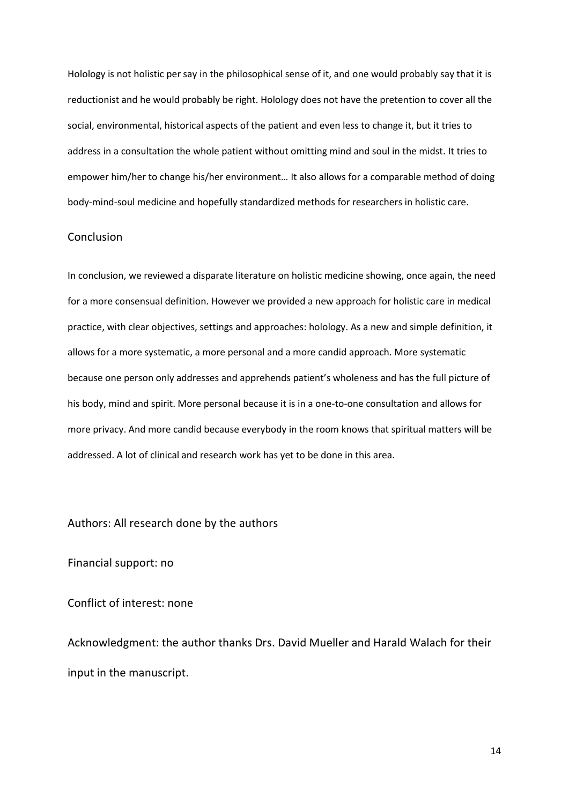Holology is not holistic per say in the philosophical sense of it, and one would probably say that it is reductionist and he would probably be right. Holology does not have the pretention to cover all the social, environmental, historical aspects of the patient and even less to change it, but it tries to address in a consultation the whole patient without omitting mind and soul in the midst. It tries to empower him/her to change his/her environment… It also allows for a comparable method of doing body-mind-soul medicine and hopefully standardized methods for researchers in holistic care.

# Conclusion

In conclusion, we reviewed a disparate literature on holistic medicine showing, once again, the need for a more consensual definition. However we provided a new approach for holistic care in medical practice, with clear objectives, settings and approaches: holology. As a new and simple definition, it allows for a more systematic, a more personal and a more candid approach. More systematic because one person only addresses and apprehends patient's wholeness and has the full picture of his body, mind and spirit. More personal because it is in a one-to-one consultation and allows for more privacy. And more candid because everybody in the room knows that spiritual matters will be addressed. A lot of clinical and research work has yet to be done in this area.

Authors: All research done by the authors

Financial support: no

Conflict of interest: none

Acknowledgment: the author thanks Drs. David Mueller and Harald Walach for their input in the manuscript.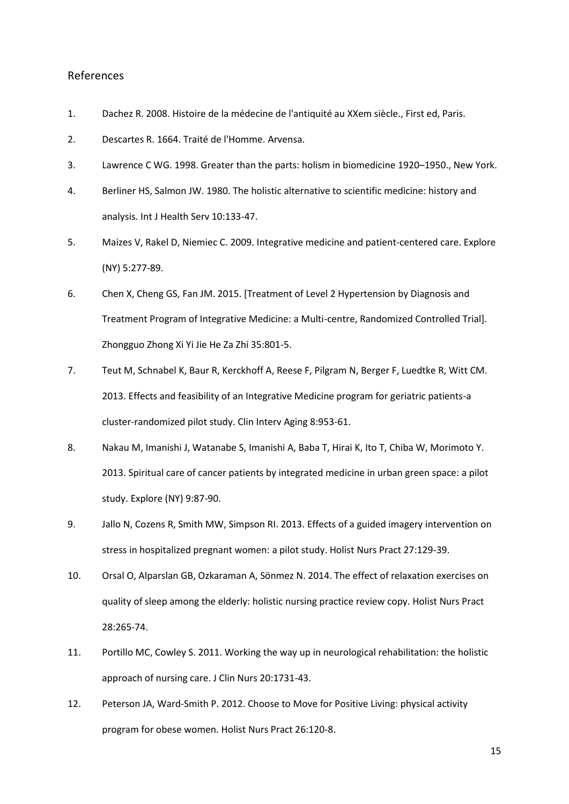### References

- 1. Dachez R. 2008. Histoire de la médecine de l'antiquité au XXem siècle., First ed, Paris.
- 2. Descartes R. 1664. Traité de l'Homme. Arvensa.
- 3. Lawrence C WG. 1998. Greater than the parts: holism in biomedicine 1920–1950., New York.
- 4. Berliner HS, Salmon JW. 1980. The holistic alternative to scientific medicine: history and analysis. Int J Health Serv 10:133-47.
- 5. Maizes V, Rakel D, Niemiec C. 2009. Integrative medicine and patient-centered care. Explore (NY) 5:277-89.
- 6. Chen X, Cheng GS, Fan JM. 2015. [Treatment of Level 2 Hypertension by Diagnosis and Treatment Program of Integrative Medicine: a Multi-centre, Randomized Controlled Trial]. Zhongguo Zhong Xi Yi Jie He Za Zhi 35:801-5.
- 7. Teut M, Schnabel K, Baur R, Kerckhoff A, Reese F, Pilgram N, Berger F, Luedtke R, Witt CM. 2013. Effects and feasibility of an Integrative Medicine program for geriatric patients-a cluster-randomized pilot study. Clin Interv Aging 8:953-61.
- 8. Nakau M, Imanishi J, Watanabe S, Imanishi A, Baba T, Hirai K, Ito T, Chiba W, Morimoto Y. 2013. Spiritual care of cancer patients by integrated medicine in urban green space: a pilot study. Explore (NY) 9:87-90.
- 9. Jallo N, Cozens R, Smith MW, Simpson RI. 2013. Effects of a guided imagery intervention on stress in hospitalized pregnant women: a pilot study. Holist Nurs Pract 27:129-39.
- 10. Orsal O, Alparslan GB, Ozkaraman A, Sönmez N. 2014. The effect of relaxation exercises on quality of sleep among the elderly: holistic nursing practice review copy. Holist Nurs Pract 28:265-74.
- 11. Portillo MC, Cowley S. 2011. Working the way up in neurological rehabilitation: the holistic approach of nursing care. J Clin Nurs 20:1731-43.
- 12. Peterson JA, Ward-Smith P. 2012. Choose to Move for Positive Living: physical activity program for obese women. Holist Nurs Pract 26:120-8.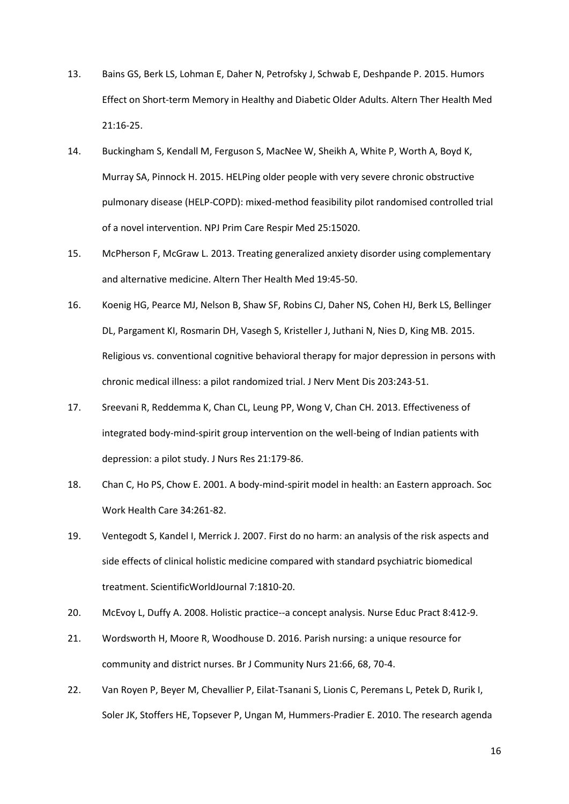- 13. Bains GS, Berk LS, Lohman E, Daher N, Petrofsky J, Schwab E, Deshpande P. 2015. Humors Effect on Short-term Memory in Healthy and Diabetic Older Adults. Altern Ther Health Med 21:16-25.
- 14. Buckingham S, Kendall M, Ferguson S, MacNee W, Sheikh A, White P, Worth A, Boyd K, Murray SA, Pinnock H. 2015. HELPing older people with very severe chronic obstructive pulmonary disease (HELP-COPD): mixed-method feasibility pilot randomised controlled trial of a novel intervention. NPJ Prim Care Respir Med 25:15020.
- 15. McPherson F, McGraw L. 2013. Treating generalized anxiety disorder using complementary and alternative medicine. Altern Ther Health Med 19:45-50.
- 16. Koenig HG, Pearce MJ, Nelson B, Shaw SF, Robins CJ, Daher NS, Cohen HJ, Berk LS, Bellinger DL, Pargament KI, Rosmarin DH, Vasegh S, Kristeller J, Juthani N, Nies D, King MB. 2015. Religious vs. conventional cognitive behavioral therapy for major depression in persons with chronic medical illness: a pilot randomized trial. J Nerv Ment Dis 203:243-51.
- 17. Sreevani R, Reddemma K, Chan CL, Leung PP, Wong V, Chan CH. 2013. Effectiveness of integrated body-mind-spirit group intervention on the well-being of Indian patients with depression: a pilot study. J Nurs Res 21:179-86.
- 18. Chan C, Ho PS, Chow E. 2001. A body-mind-spirit model in health: an Eastern approach. Soc Work Health Care 34:261-82.
- 19. Ventegodt S, Kandel I, Merrick J. 2007. First do no harm: an analysis of the risk aspects and side effects of clinical holistic medicine compared with standard psychiatric biomedical treatment. ScientificWorldJournal 7:1810-20.
- 20. McEvoy L, Duffy A. 2008. Holistic practice--a concept analysis. Nurse Educ Pract 8:412-9.
- 21. Wordsworth H, Moore R, Woodhouse D. 2016. Parish nursing: a unique resource for community and district nurses. Br J Community Nurs 21:66, 68, 70-4.
- 22. Van Royen P, Beyer M, Chevallier P, Eilat-Tsanani S, Lionis C, Peremans L, Petek D, Rurik I, Soler JK, Stoffers HE, Topsever P, Ungan M, Hummers-Pradier E. 2010. The research agenda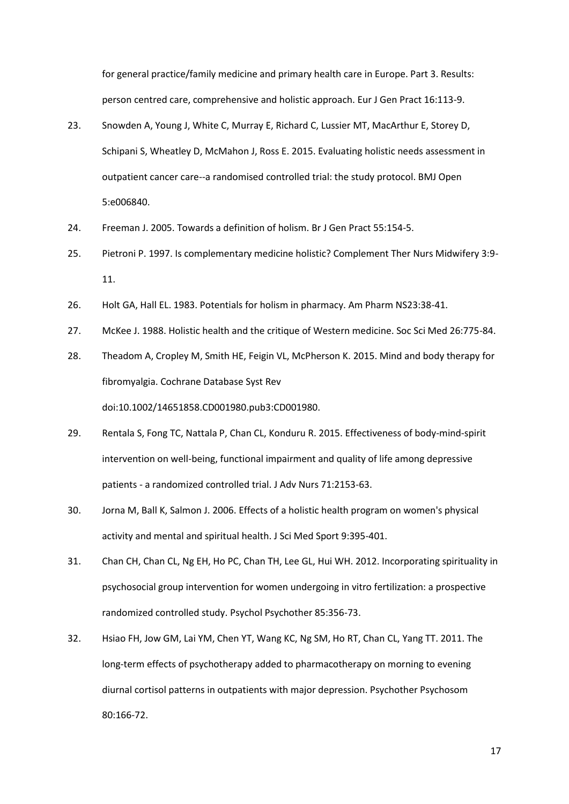for general practice/family medicine and primary health care in Europe. Part 3. Results: person centred care, comprehensive and holistic approach. Eur J Gen Pract 16:113-9.

- 23. Snowden A, Young J, White C, Murray E, Richard C, Lussier MT, MacArthur E, Storey D, Schipani S, Wheatley D, McMahon J, Ross E. 2015. Evaluating holistic needs assessment in outpatient cancer care--a randomised controlled trial: the study protocol. BMJ Open 5:e006840.
- 24. Freeman J. 2005. Towards a definition of holism. Br J Gen Pract 55:154-5.
- 25. Pietroni P. 1997. Is complementary medicine holistic? Complement Ther Nurs Midwifery 3:9- 11.
- 26. Holt GA, Hall EL. 1983. Potentials for holism in pharmacy. Am Pharm NS23:38-41.
- 27. McKee J. 1988. Holistic health and the critique of Western medicine. Soc Sci Med 26:775-84.
- 28. Theadom A, Cropley M, Smith HE, Feigin VL, McPherson K. 2015. Mind and body therapy for fibromyalgia. Cochrane Database Syst Rev doi:10.1002/14651858.CD001980.pub3:CD001980.
- 29. Rentala S, Fong TC, Nattala P, Chan CL, Konduru R. 2015. Effectiveness of body-mind-spirit intervention on well-being, functional impairment and quality of life among depressive patients - a randomized controlled trial. J Adv Nurs 71:2153-63.
- 30. Jorna M, Ball K, Salmon J. 2006. Effects of a holistic health program on women's physical activity and mental and spiritual health. J Sci Med Sport 9:395-401.
- 31. Chan CH, Chan CL, Ng EH, Ho PC, Chan TH, Lee GL, Hui WH. 2012. Incorporating spirituality in psychosocial group intervention for women undergoing in vitro fertilization: a prospective randomized controlled study. Psychol Psychother 85:356-73.
- 32. Hsiao FH, Jow GM, Lai YM, Chen YT, Wang KC, Ng SM, Ho RT, Chan CL, Yang TT. 2011. The long-term effects of psychotherapy added to pharmacotherapy on morning to evening diurnal cortisol patterns in outpatients with major depression. Psychother Psychosom 80:166-72.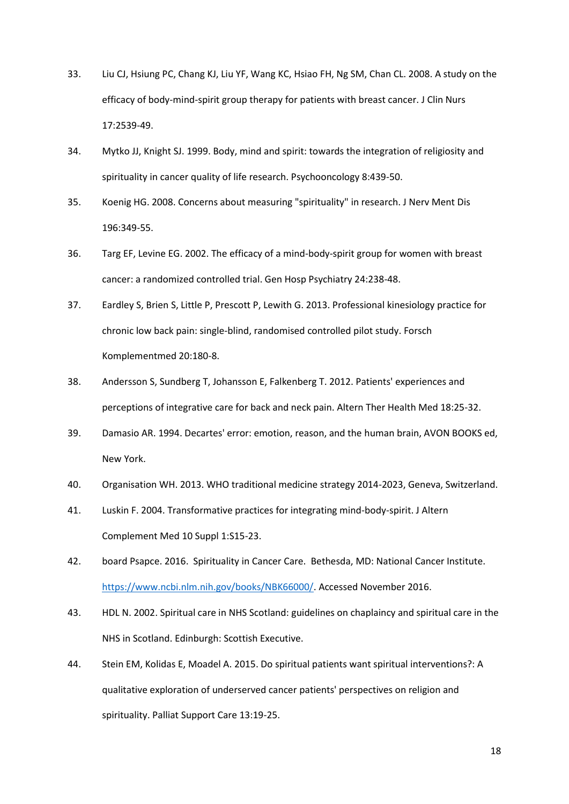- 33. Liu CJ, Hsiung PC, Chang KJ, Liu YF, Wang KC, Hsiao FH, Ng SM, Chan CL. 2008. A study on the efficacy of body-mind-spirit group therapy for patients with breast cancer. J Clin Nurs 17:2539-49.
- 34. Mytko JJ, Knight SJ. 1999. Body, mind and spirit: towards the integration of religiosity and spirituality in cancer quality of life research. Psychooncology 8:439-50.
- 35. Koenig HG. 2008. Concerns about measuring "spirituality" in research. J Nerv Ment Dis 196:349-55.
- 36. Targ EF, Levine EG. 2002. The efficacy of a mind-body-spirit group for women with breast cancer: a randomized controlled trial. Gen Hosp Psychiatry 24:238-48.
- 37. Eardley S, Brien S, Little P, Prescott P, Lewith G. 2013. Professional kinesiology practice for chronic low back pain: single-blind, randomised controlled pilot study. Forsch Komplementmed 20:180-8.
- 38. Andersson S, Sundberg T, Johansson E, Falkenberg T. 2012. Patients' experiences and perceptions of integrative care for back and neck pain. Altern Ther Health Med 18:25-32.
- 39. Damasio AR. 1994. Decartes' error: emotion, reason, and the human brain, AVON BOOKS ed, New York.
- 40. Organisation WH. 2013. WHO traditional medicine strategy 2014-2023, Geneva, Switzerland.
- 41. Luskin F. 2004. Transformative practices for integrating mind-body-spirit. J Altern Complement Med 10 Suppl 1:S15-23.
- 42. board Psapce. 2016. Spirituality in Cancer Care. Bethesda, MD: National Cancer Institute. [https://www.ncbi.nlm.nih.gov/books/NBK66000/.](https://www.ncbi.nlm.nih.gov/books/NBK66000/) Accessed November 2016.
- 43. HDL N. 2002. Spiritual care in NHS Scotland: guidelines on chaplaincy and spiritual care in the NHS in Scotland. Edinburgh: Scottish Executive.
- 44. Stein EM, Kolidas E, Moadel A. 2015. Do spiritual patients want spiritual interventions?: A qualitative exploration of underserved cancer patients' perspectives on religion and spirituality. Palliat Support Care 13:19-25.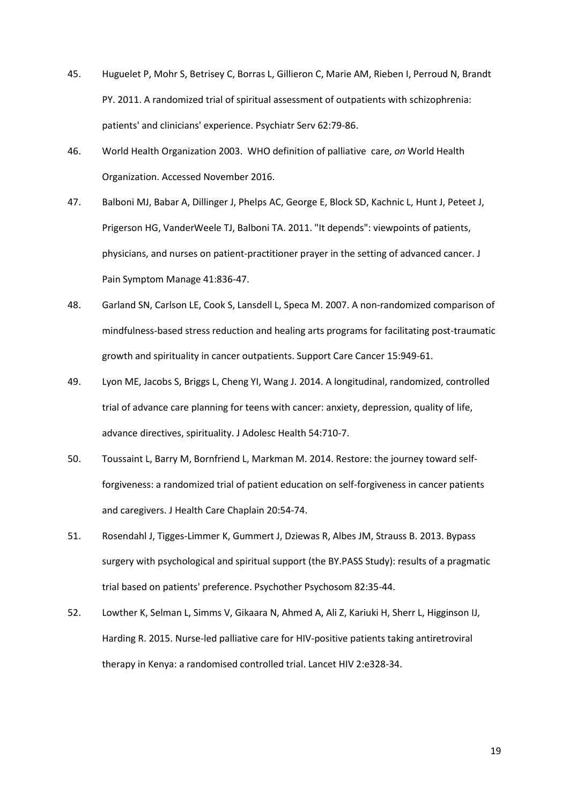- 45. Huguelet P, Mohr S, Betrisey C, Borras L, Gillieron C, Marie AM, Rieben I, Perroud N, Brandt PY. 2011. A randomized trial of spiritual assessment of outpatients with schizophrenia: patients' and clinicians' experience. Psychiatr Serv 62:79-86.
- 46. World Health Organization 2003. WHO definition of palliative care, *on* World Health Organization. Accessed November 2016.
- 47. Balboni MJ, Babar A, Dillinger J, Phelps AC, George E, Block SD, Kachnic L, Hunt J, Peteet J, Prigerson HG, VanderWeele TJ, Balboni TA. 2011. "It depends": viewpoints of patients, physicians, and nurses on patient-practitioner prayer in the setting of advanced cancer. J Pain Symptom Manage 41:836-47.
- 48. Garland SN, Carlson LE, Cook S, Lansdell L, Speca M. 2007. A non-randomized comparison of mindfulness-based stress reduction and healing arts programs for facilitating post-traumatic growth and spirituality in cancer outpatients. Support Care Cancer 15:949-61.
- 49. Lyon ME, Jacobs S, Briggs L, Cheng YI, Wang J. 2014. A longitudinal, randomized, controlled trial of advance care planning for teens with cancer: anxiety, depression, quality of life, advance directives, spirituality. J Adolesc Health 54:710-7.
- 50. Toussaint L, Barry M, Bornfriend L, Markman M. 2014. Restore: the journey toward selfforgiveness: a randomized trial of patient education on self-forgiveness in cancer patients and caregivers. J Health Care Chaplain 20:54-74.
- 51. Rosendahl J, Tigges-Limmer K, Gummert J, Dziewas R, Albes JM, Strauss B. 2013. Bypass surgery with psychological and spiritual support (the BY.PASS Study): results of a pragmatic trial based on patients' preference. Psychother Psychosom 82:35-44.
- 52. Lowther K, Selman L, Simms V, Gikaara N, Ahmed A, Ali Z, Kariuki H, Sherr L, Higginson IJ, Harding R. 2015. Nurse-led palliative care for HIV-positive patients taking antiretroviral therapy in Kenya: a randomised controlled trial. Lancet HIV 2:e328-34.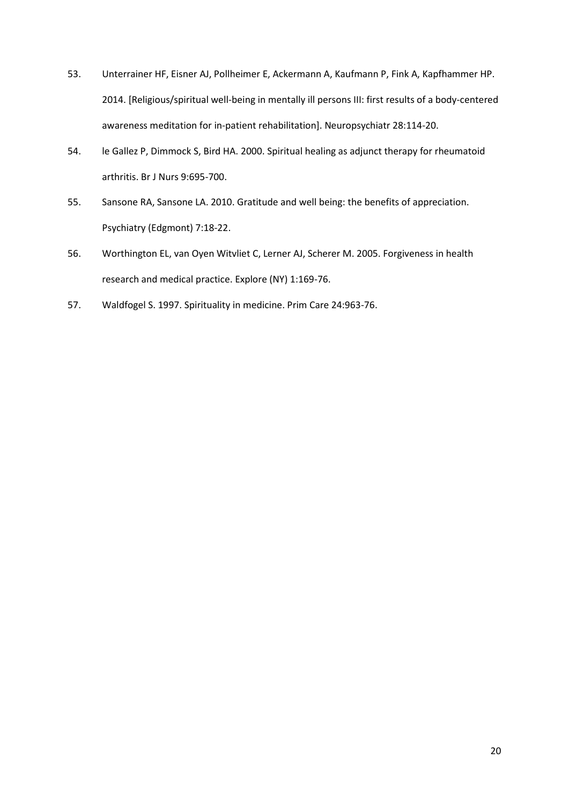- 53. Unterrainer HF, Eisner AJ, Pollheimer E, Ackermann A, Kaufmann P, Fink A, Kapfhammer HP. 2014. [Religious/spiritual well-being in mentally ill persons III: first results of a body-centered awareness meditation for in-patient rehabilitation]. Neuropsychiatr 28:114-20.
- 54. le Gallez P, Dimmock S, Bird HA. 2000. Spiritual healing as adjunct therapy for rheumatoid arthritis. Br J Nurs 9:695-700.
- 55. Sansone RA, Sansone LA. 2010. Gratitude and well being: the benefits of appreciation. Psychiatry (Edgmont) 7:18-22.
- 56. Worthington EL, van Oyen Witvliet C, Lerner AJ, Scherer M. 2005. Forgiveness in health research and medical practice. Explore (NY) 1:169-76.
- 57. Waldfogel S. 1997. Spirituality in medicine. Prim Care 24:963-76.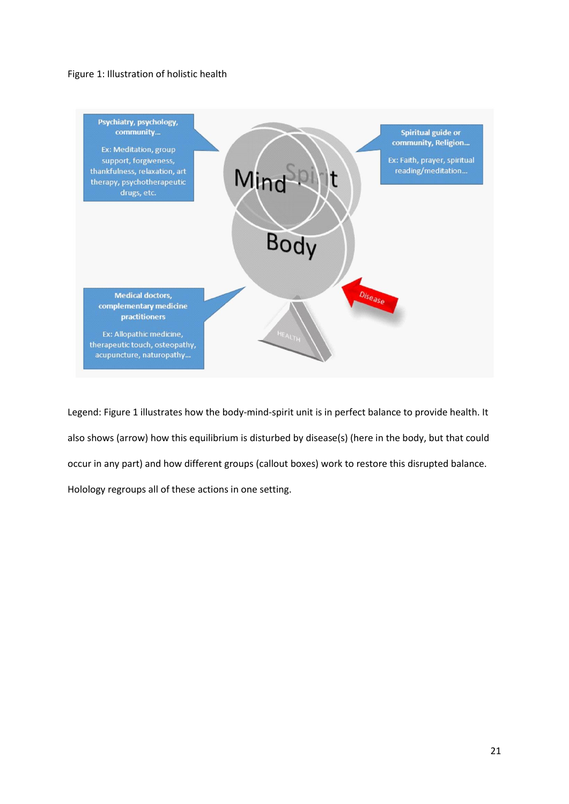# Figure 1: Illustration of holistic health



Legend: Figure 1 illustrates how the body-mind-spirit unit is in perfect balance to provide health. It also shows (arrow) how this equilibrium is disturbed by disease(s) (here in the body, but that could occur in any part) and how different groups (callout boxes) work to restore this disrupted balance. Holology regroups all of these actions in one setting.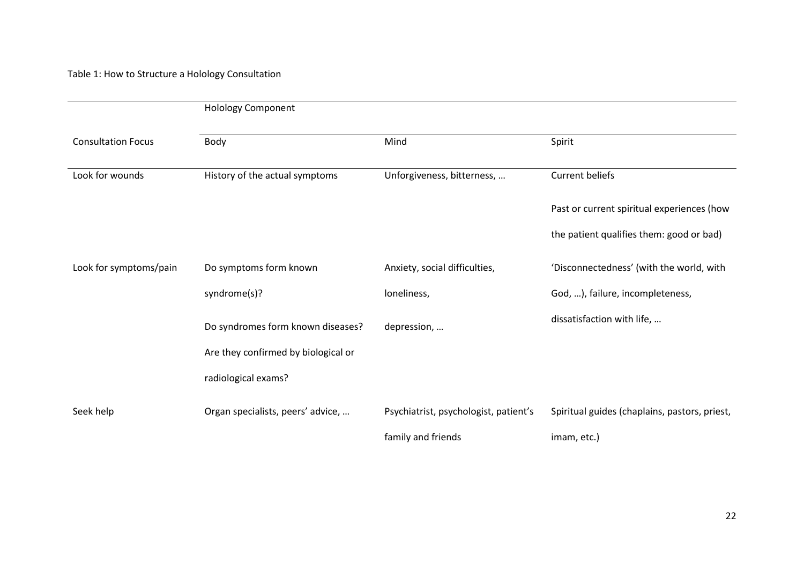Table 1: How to Structure a Holology Consultation

|                           | <b>Holology Component</b>           |                                       |                                               |  |  |
|---------------------------|-------------------------------------|---------------------------------------|-----------------------------------------------|--|--|
| <b>Consultation Focus</b> | Body                                | Mind                                  | Spirit                                        |  |  |
| Look for wounds           | History of the actual symptoms      | Unforgiveness, bitterness,            | <b>Current beliefs</b>                        |  |  |
|                           |                                     |                                       | Past or current spiritual experiences (how    |  |  |
|                           |                                     |                                       | the patient qualifies them: good or bad)      |  |  |
| Look for symptoms/pain    | Do symptoms form known              | Anxiety, social difficulties,         | 'Disconnectedness' (with the world, with      |  |  |
|                           | syndrome(s)?                        | loneliness,                           | God, ), failure, incompleteness,              |  |  |
|                           | Do syndromes form known diseases?   | depression,                           | dissatisfaction with life,                    |  |  |
|                           | Are they confirmed by biological or |                                       |                                               |  |  |
|                           | radiological exams?                 |                                       |                                               |  |  |
| Seek help                 | Organ specialists, peers' advice,   | Psychiatrist, psychologist, patient's | Spiritual guides (chaplains, pastors, priest, |  |  |
|                           |                                     | family and friends                    | imam, etc.)                                   |  |  |